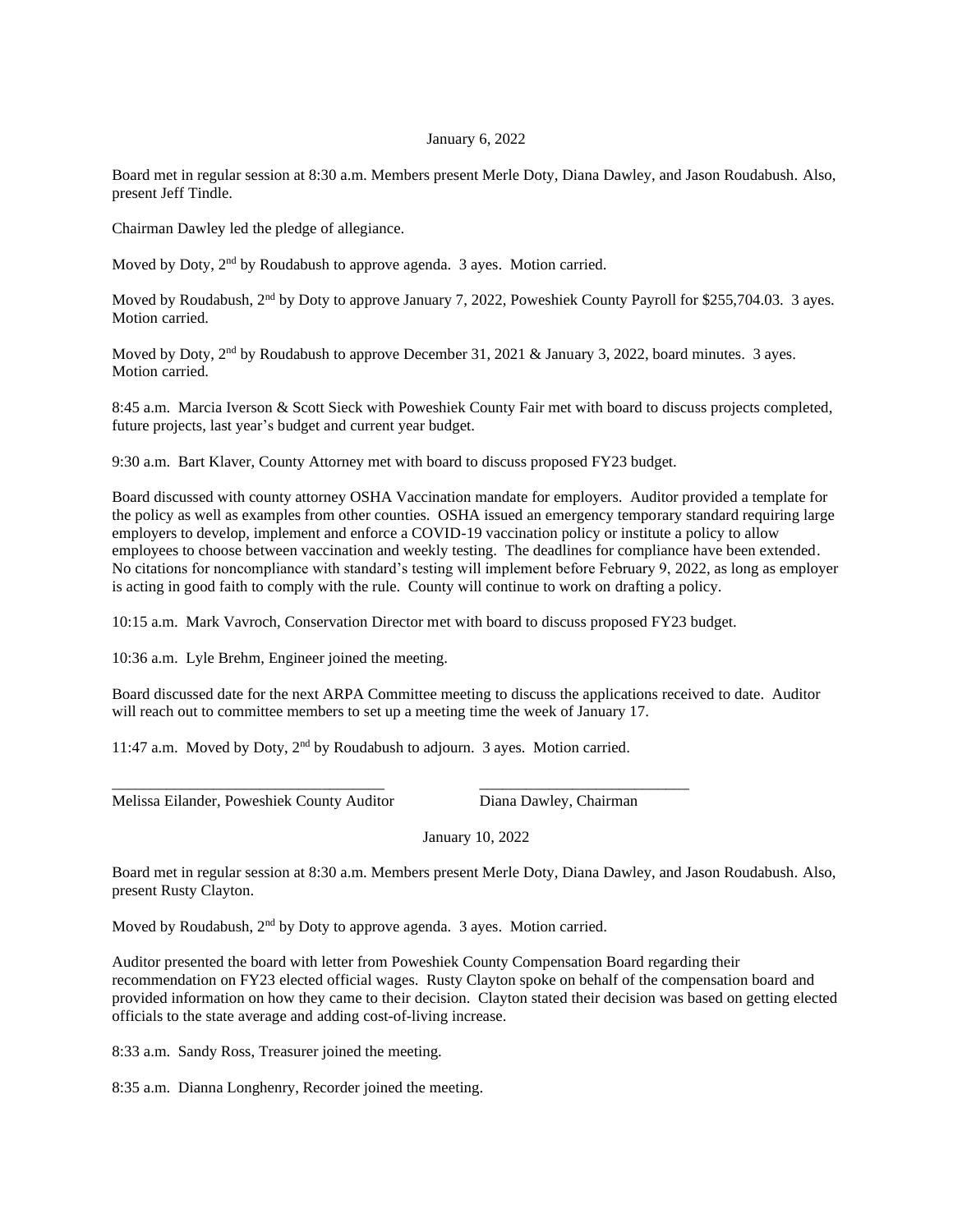## January 6, 2022

Board met in regular session at 8:30 a.m. Members present Merle Doty, Diana Dawley, and Jason Roudabush. Also, present Jeff Tindle.

Chairman Dawley led the pledge of allegiance.

Moved by Doty, 2<sup>nd</sup> by Roudabush to approve agenda. 3 ayes. Motion carried.

Moved by Roudabush, 2<sup>nd</sup> by Doty to approve January 7, 2022, Poweshiek County Payroll for \$255,704.03. 3 ayes. Motion carried.

Moved by Doty,  $2<sup>nd</sup>$  by Roudabush to approve December 31, 2021 & January 3, 2022, board minutes. 3 ayes. Motion carried.

8:45 a.m. Marcia Iverson & Scott Sieck with Poweshiek County Fair met with board to discuss projects completed, future projects, last year's budget and current year budget.

9:30 a.m. Bart Klaver, County Attorney met with board to discuss proposed FY23 budget.

Board discussed with county attorney OSHA Vaccination mandate for employers. Auditor provided a template for the policy as well as examples from other counties. OSHA issued an emergency temporary standard requiring large employers to develop, implement and enforce a COVID-19 vaccination policy or institute a policy to allow employees to choose between vaccination and weekly testing. The deadlines for compliance have been extended. No citations for noncompliance with standard's testing will implement before February 9, 2022, as long as employer is acting in good faith to comply with the rule. County will continue to work on drafting a policy.

10:15 a.m. Mark Vavroch, Conservation Director met with board to discuss proposed FY23 budget.

10:36 a.m. Lyle Brehm, Engineer joined the meeting.

Board discussed date for the next ARPA Committee meeting to discuss the applications received to date. Auditor will reach out to committee members to set up a meeting time the week of January 17.

11:47 a.m. Moved by Doty, 2nd by Roudabush to adjourn. 3 ayes. Motion carried.

\_\_\_\_\_\_\_\_\_\_\_\_\_\_\_\_\_\_\_\_\_\_\_\_\_\_\_\_\_\_\_\_\_\_\_ \_\_\_\_\_\_\_\_\_\_\_\_\_\_\_\_\_\_\_\_\_\_\_\_\_\_\_

Melissa Eilander, Poweshiek County Auditor Diana Dawley, Chairman

January 10, 2022

Board met in regular session at 8:30 a.m. Members present Merle Doty, Diana Dawley, and Jason Roudabush. Also, present Rusty Clayton.

Moved by Roudabush,  $2<sup>nd</sup>$  by Doty to approve agenda. 3 ayes. Motion carried.

Auditor presented the board with letter from Poweshiek County Compensation Board regarding their recommendation on FY23 elected official wages. Rusty Clayton spoke on behalf of the compensation board and provided information on how they came to their decision. Clayton stated their decision was based on getting elected officials to the state average and adding cost-of-living increase.

8:33 a.m. Sandy Ross, Treasurer joined the meeting.

8:35 a.m. Dianna Longhenry, Recorder joined the meeting.